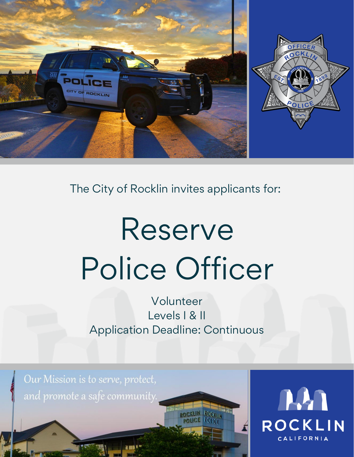

## The City of Rocklin invites applicants for:

# Reserve Police Officer

## Volunteer Levels | & II Application Deadline: Continuous

Our Mission is to serve, protect, and promote a safe community.

## **P.An** ROCKLIN CALIFORNIA